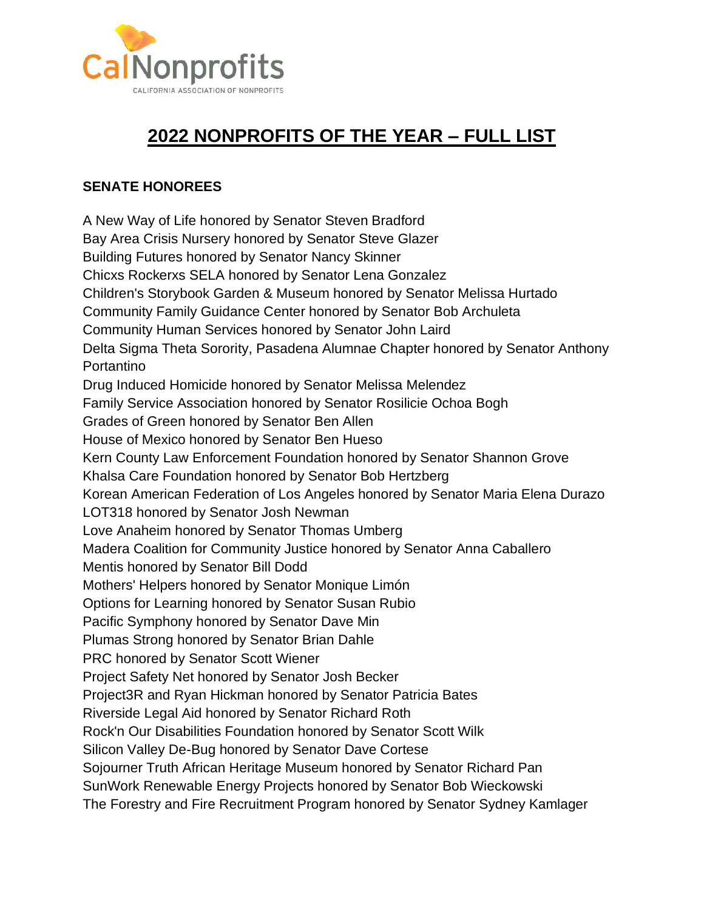

## **2022 NONPROFITS OF THE YEAR – FULL LIST**

## **SENATE HONOREES**

A New Way of Life honored by Senator Steven Bradford Bay Area Crisis Nursery honored by Senator Steve Glazer Building Futures honored by Senator Nancy Skinner Chicxs Rockerxs SELA honored by Senator Lena Gonzalez Children's Storybook Garden & Museum honored by Senator Melissa Hurtado Community Family Guidance Center honored by Senator Bob Archuleta Community Human Services honored by Senator John Laird Delta Sigma Theta Sorority, Pasadena Alumnae Chapter honored by Senator Anthony Portantino Drug Induced Homicide honored by Senator Melissa Melendez Family Service Association honored by Senator Rosilicie Ochoa Bogh Grades of Green honored by Senator Ben Allen House of Mexico honored by Senator Ben Hueso Kern County Law Enforcement Foundation honored by Senator Shannon Grove Khalsa Care Foundation honored by Senator Bob Hertzberg Korean American Federation of Los Angeles honored by Senator Maria Elena Durazo LOT318 honored by Senator Josh Newman Love Anaheim honored by Senator Thomas Umberg Madera Coalition for Community Justice honored by Senator Anna Caballero Mentis honored by Senator Bill Dodd Mothers' Helpers honored by Senator Monique Limón Options for Learning honored by Senator Susan Rubio Pacific Symphony honored by Senator Dave Min Plumas Strong honored by Senator Brian Dahle PRC honored by Senator Scott Wiener Project Safety Net honored by Senator Josh Becker Project3R and Ryan Hickman honored by Senator Patricia Bates Riverside Legal Aid honored by Senator Richard Roth Rock'n Our Disabilities Foundation honored by Senator Scott Wilk Silicon Valley De-Bug honored by Senator Dave Cortese Sojourner Truth African Heritage Museum honored by Senator Richard Pan SunWork Renewable Energy Projects honored by Senator Bob Wieckowski The Forestry and Fire Recruitment Program honored by Senator Sydney Kamlager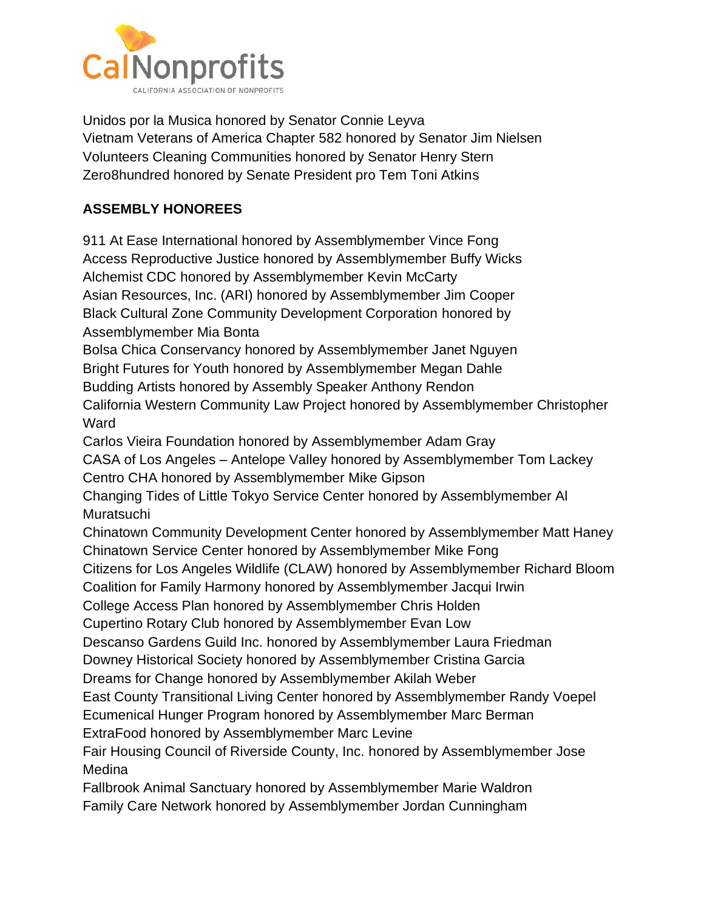

Unidos por la Musica honored by Senator Connie Leyva Vietnam Veterans of America Chapter 582 honored by Senator Jim Nielsen Volunteers Cleaning Communities honored by Senator Henry Stern Zero8hundred honored by Senate President pro Tem Toni Atkins

## **ASSEMBLY HONOREES**

911 At Ease International honored by Assemblymember Vince Fong Access Reproductive Justice honored by Assemblymember Buffy Wicks Alchemist CDC honored by Assemblymember Kevin McCarty Asian Resources, Inc. (ARI) honored by Assemblymember Jim Cooper Black Cultural Zone Community Development Corporation honored by Assemblymember Mia Bonta Bolsa Chica Conservancy honored by Assemblymember Janet Nguyen Bright Futures for Youth honored by Assemblymember Megan Dahle Budding Artists honored by Assembly Speaker Anthony Rendon California Western Community Law Project honored by Assemblymember Christopher **Ward** Carlos Vieira Foundation honored by Assemblymember Adam Gray CASA of Los Angeles – Antelope Valley honored by Assemblymember Tom Lackey Centro CHA honored by Assemblymember Mike Gipson Changing Tides of Little Tokyo Service Center honored by Assemblymember Al **Muratsuchi** Chinatown Community Development Center honored by Assemblymember Matt Haney Chinatown Service Center honored by Assemblymember Mike Fong Citizens for Los Angeles Wildlife (CLAW) honored by Assemblymember Richard Bloom Coalition for Family Harmony honored by Assemblymember Jacqui Irwin College Access Plan honored by Assemblymember Chris Holden Cupertino Rotary Club honored by Assemblymember Evan Low Descanso Gardens Guild Inc. honored by Assemblymember Laura Friedman Downey Historical Society honored by Assemblymember Cristina Garcia Dreams for Change honored by Assemblymember Akilah Weber East County Transitional Living Center honored by Assemblymember Randy Voepel Ecumenical Hunger Program honored by Assemblymember Marc Berman ExtraFood honored by Assemblymember Marc Levine Fair Housing Council of Riverside County, Inc. honored by Assemblymember Jose Medina Fallbrook Animal Sanctuary honored by Assemblymember Marie Waldron Family Care Network honored by Assemblymember Jordan Cunningham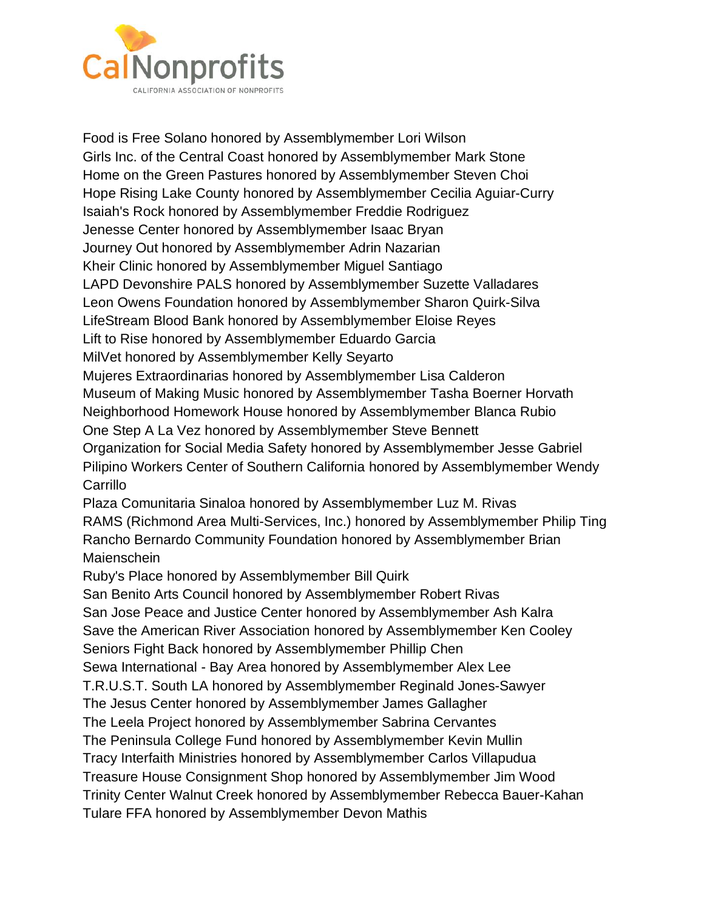

Food is Free Solano honored by Assemblymember Lori Wilson Girls Inc. of the Central Coast honored by Assemblymember Mark Stone Home on the Green Pastures honored by Assemblymember Steven Choi Hope Rising Lake County honored by Assemblymember Cecilia Aguiar-Curry Isaiah's Rock honored by Assemblymember Freddie Rodriguez Jenesse Center honored by Assemblymember Isaac Bryan Journey Out honored by Assemblymember Adrin Nazarian Kheir Clinic honored by Assemblymember Miguel Santiago LAPD Devonshire PALS honored by Assemblymember Suzette Valladares Leon Owens Foundation honored by Assemblymember Sharon Quirk-Silva LifeStream Blood Bank honored by Assemblymember Eloise Reyes Lift to Rise honored by Assemblymember Eduardo Garcia MilVet honored by Assemblymember Kelly Seyarto Mujeres Extraordinarias honored by Assemblymember Lisa Calderon Museum of Making Music honored by Assemblymember Tasha Boerner Horvath Neighborhood Homework House honored by Assemblymember Blanca Rubio One Step A La Vez honored by Assemblymember Steve Bennett Organization for Social Media Safety honored by Assemblymember Jesse Gabriel Pilipino Workers Center of Southern California honored by Assemblymember Wendy **Carrillo** Plaza Comunitaria Sinaloa honored by Assemblymember Luz M. Rivas RAMS (Richmond Area Multi-Services, Inc.) honored by Assemblymember Philip Ting Rancho Bernardo Community Foundation honored by Assemblymember Brian **Maienschein** Ruby's Place honored by Assemblymember Bill Quirk San Benito Arts Council honored by Assemblymember Robert Rivas San Jose Peace and Justice Center honored by Assemblymember Ash Kalra Save the American River Association honored by Assemblymember Ken Cooley Seniors Fight Back honored by Assemblymember Phillip Chen Sewa International - Bay Area honored by Assemblymember Alex Lee T.R.U.S.T. South LA honored by Assemblymember Reginald Jones-Sawyer The Jesus Center honored by Assemblymember James Gallagher The Leela Project honored by Assemblymember Sabrina Cervantes The Peninsula College Fund honored by Assemblymember Kevin Mullin Tracy Interfaith Ministries honored by Assemblymember Carlos Villapudua Treasure House Consignment Shop honored by Assemblymember Jim Wood Trinity Center Walnut Creek honored by Assemblymember Rebecca Bauer-Kahan Tulare FFA honored by Assemblymember Devon Mathis